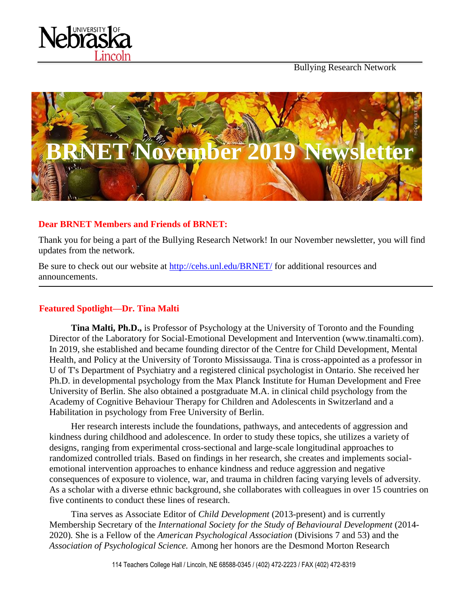

Bullying Research Network



## **Dear BRNET Members and Friends of BRNET:**

Thank you for being a part of the Bullying Research Network! In our November newsletter, you will find updates from the network.

Be sure to check out our website at<http://cehs.unl.edu/BRNET/> for additional resources and announcements.

# **Featured Spotlight—Dr. Tina Malti**

**Tina Malti, Ph.D.,** is Professor of Psychology at the University of Toronto and the Founding Director of the Laboratory for Social-Emotional Development and Intervention (www.tinamalti.com). In 2019, she established and became founding director of the Centre for Child Development, Mental Health, and Policy at the University of Toronto Mississauga. Tina is cross-appointed as a professor in U of T's Department of Psychiatry and a registered clinical psychologist in Ontario. She received her Ph.D. in developmental psychology from the Max Planck Institute for Human Development and Free University of Berlin. She also obtained a postgraduate M.A. in clinical child psychology from the Academy of Cognitive Behaviour Therapy for Children and Adolescents in Switzerland and a Habilitation in psychology from Free University of Berlin.

Her research interests include the foundations, pathways, and antecedents of aggression and kindness during childhood and adolescence. In order to study these topics, she utilizes a variety of designs, ranging from experimental cross-sectional and large-scale longitudinal approaches to randomized controlled trials. Based on findings in her research, she creates and implements socialemotional intervention approaches to enhance kindness and reduce aggression and negative consequences of exposure to violence, war, and trauma in children facing varying levels of adversity. As a scholar with a diverse ethnic background, she collaborates with colleagues in over 15 countries on five continents to conduct these lines of research.

Tina serves as Associate Editor of *Child Development* (2013-present) and is currently Membership Secretary of the *International Society for the Study of Behavioural Development* (2014- 2020)*.* She is a Fellow of the *American Psychological Association* (Divisions 7 and 53) and the *Association of Psychological Science.* Among her honors are the Desmond Morton Research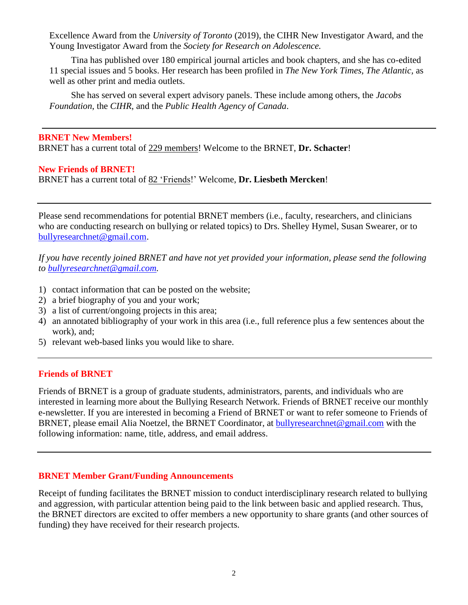Excellence Award from the *University of Toronto* (2019), the CIHR New Investigator Award, and the Young Investigator Award from the *Society for Research on Adolescence.* 

Tina has published over 180 empirical journal articles and book chapters, and she has co-edited 11 special issues and 5 books. Her research has been profiled in *The New York Times, The Atlantic,* as well as other print and media outlets.

She has served on several expert advisory panels. These include among others, the *Jacobs Foundation*, the *CIHR*, and the *Public Health Agency of Canada*.

#### **BRNET New Members!**

BRNET has a current total of 229 members! Welcome to the BRNET, **Dr. Schacter**!

### **New Friends of BRNET!**

BRNET has a current total of 82 'Friends!' Welcome, **Dr. Liesbeth Mercken**!

Please send recommendations for potential BRNET members (i.e., faculty, researchers, and clinicians who are conducting research on bullying or related topics) to Drs. Shelley Hymel, Susan Swearer, or to [bullyresearchnet@gmail.com.](mailto:bullyresearchnet@gmail.com)

*If you have recently joined BRNET and have not yet provided your information, please send the following to [bullyresearchnet@gmail.com.](mailto:bullyresearchnet@gmail.com)*

- 1) contact information that can be posted on the website;
- 2) a brief biography of you and your work;
- 3) a list of current/ongoing projects in this area;
- 4) an annotated bibliography of your work in this area (i.e., full reference plus a few sentences about the work), and;
- 5) relevant web-based links you would like to share.

### **Friends of BRNET**

Friends of BRNET is a group of graduate students, administrators, parents, and individuals who are interested in learning more about the Bullying Research Network. Friends of BRNET receive our monthly e-newsletter. If you are interested in becoming a Friend of BRNET or want to refer someone to Friends of BRNET, please email Alia Noetzel, the BRNET Coordinator, at [bullyresearchnet@gmail.com](mailto:bullyresearchnet@gmail.com) with the following information: name, title, address, and email address.

### **BRNET Member Grant/Funding Announcements**

Receipt of funding facilitates the BRNET mission to conduct interdisciplinary research related to bullying and aggression, with particular attention being paid to the link between basic and applied research. Thus, the BRNET directors are excited to offer members a new opportunity to share grants (and other sources of funding) they have received for their research projects.